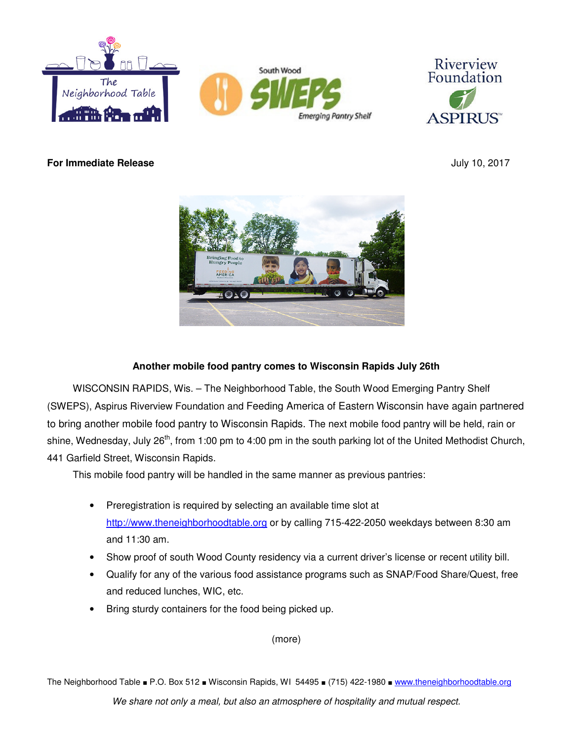



**For Immediate Release July 10, 2017** 



## **Another mobile food pantry comes to Wisconsin Rapids July 26th**

WISCONSIN RAPIDS, Wis. – The Neighborhood Table, the South Wood Emerging Pantry Shelf (SWEPS), Aspirus Riverview Foundation and Feeding America of Eastern Wisconsin have again partnered to bring another mobile food pantry to Wisconsin Rapids. The next mobile food pantry will be held, rain or shine, Wednesday, July 26<sup>th</sup>, from 1:00 pm to 4:00 pm in the south parking lot of the United Methodist Church, 441 Garfield Street, Wisconsin Rapids.

This mobile food pantry will be handled in the same manner as previous pantries:

- Preregistration is required by selecting an available time slot at http://www.theneighborhoodtable.org or by calling 715-422-2050 weekdays between 8:30 am and 11:30 am.
- Show proof of south Wood County residency via a current driver's license or recent utility bill.
- Qualify for any of the various food assistance programs such as SNAP/Food Share/Quest, free and reduced lunches, WIC, etc.
- Bring sturdy containers for the food being picked up.

(more)

The Neighborhood Table ■ P.O. Box 512 ■ Wisconsin Rapids, WI 54495 ■ (715) 422-1980 ■ www.theneighborhoodtable.org

We share not only a meal, but also an atmosphere of hospitality and mutual respect.